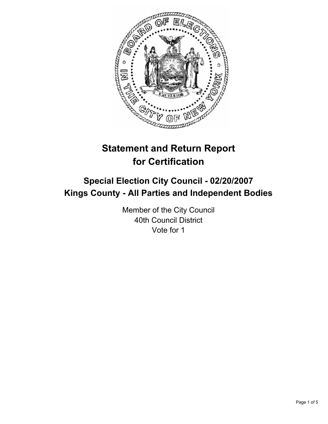

# **Statement and Return Report for Certification**

# **Special Election City Council - 02/20/2007 Kings County - All Parties and Independent Bodies**

Member of the City Council 40th Council District Vote for 1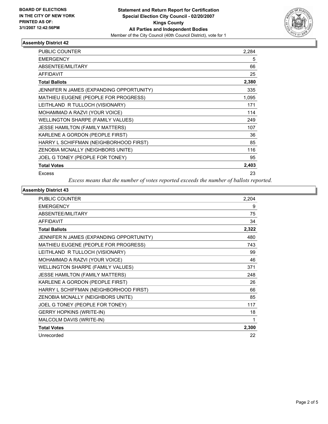

### **Assembly District 42**

| 2,284 |
|-------|
| 5     |
| 66    |
| 25    |
| 2,380 |
| 335   |
| 1,095 |
| 171   |
| 114   |
| 249   |
| 107   |
| 36    |
| 85    |
| 116   |
| 95    |
| 2,403 |
| 23    |
|       |

*Excess means that the number of votes reported exceeds the number of ballots reported.*

### **Assembly District 43**

| <b>PUBLIC COUNTER</b>                    | 2,204 |
|------------------------------------------|-------|
| <b>EMERGENCY</b>                         | 9     |
| ABSENTEE/MILITARY                        | 75    |
| <b>AFFIDAVIT</b>                         | 34    |
| <b>Total Ballots</b>                     | 2,322 |
| JENNIFER N JAMES (EXPANDING OPPORTUNITY) | 480   |
| MATHIEU EUGENE (PEOPLE FOR PROGRESS)     | 743   |
| LEITHLAND R TULLOCH (VISIONARY)          | 99    |
| MOHAMMAD A RAZVI (YOUR VOICE)            | 46    |
| WELLINGTON SHARPE (FAMILY VALUES)        | 371   |
| JESSE HAMILTON (FAMILY MATTERS)          | 248   |
| KARLENE A GORDON (PEOPLE FIRST)          | 26    |
| HARRY L SCHIFFMAN (NEIGHBORHOOD FIRST)   | 66    |
| ZENOBIA MCNALLY (NEIGHBORS UNITE)        | 85    |
| JOEL G TONEY (PEOPLE FOR TONEY)          | 117   |
| <b>GERRY HOPKINS (WRITE-IN)</b>          | 18    |
| MALCOLM DAVIS (WRITE-IN)                 | 1     |
| <b>Total Votes</b>                       | 2,300 |
| Unrecorded                               | 22    |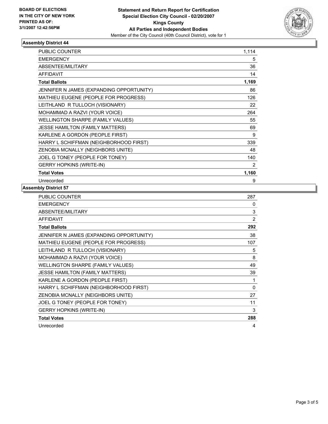

# **Assembly District 44**

| <b>PUBLIC COUNTER</b>                    | 1,114 |
|------------------------------------------|-------|
| <b>EMERGENCY</b>                         | 5     |
| ABSENTEE/MILITARY                        | 36    |
| <b>AFFIDAVIT</b>                         | 14    |
| <b>Total Ballots</b>                     | 1,169 |
| JENNIFER N JAMES (EXPANDING OPPORTUNITY) | 86    |
| MATHIEU EUGENE (PEOPLE FOR PROGRESS)     | 126   |
| LEITHLAND R TULLOCH (VISIONARY)          | 22    |
| MOHAMMAD A RAZVI (YOUR VOICE)            | 264   |
| WELLINGTON SHARPE (FAMILY VALUES)        | 55    |
| JESSE HAMILTON (FAMILY MATTERS)          | 69    |
| KARLENE A GORDON (PEOPLE FIRST)          | 9     |
| HARRY L SCHIFFMAN (NEIGHBORHOOD FIRST)   | 339   |
| ZENOBIA MCNALLY (NEIGHBORS UNITE)        | 48    |
| JOEL G TONEY (PEOPLE FOR TONEY)          | 140   |
| <b>GERRY HOPKINS (WRITE-IN)</b>          | 2     |
| <b>Total Votes</b>                       | 1,160 |
| Unrecorded                               | 9     |

### **Assembly District 57**

| <b>PUBLIC COUNTER</b>                    | 287            |
|------------------------------------------|----------------|
| <b>EMERGENCY</b>                         | 0              |
| ABSENTEE/MILITARY                        | 3              |
| <b>AFFIDAVIT</b>                         | $\overline{2}$ |
| <b>Total Ballots</b>                     | 292            |
| JENNIFER N JAMES (EXPANDING OPPORTUNITY) | 38             |
| MATHIEU EUGENE (PEOPLE FOR PROGRESS)     | 107            |
| LEITHLAND R TULLOCH (VISIONARY)          | 5              |
| MOHAMMAD A RAZVI (YOUR VOICE)            | 8              |
| WELLINGTON SHARPE (FAMILY VALUES)        | 49             |
| <b>JESSE HAMILTON (FAMILY MATTERS)</b>   | 39             |
| KARLENE A GORDON (PEOPLE FIRST)          |                |
| HARRY L SCHIFFMAN (NEIGHBORHOOD FIRST)   | 0              |
| ZENOBIA MCNALLY (NEIGHBORS UNITE)        | 27             |
| JOEL G TONEY (PEOPLE FOR TONEY)          | 11             |
| <b>GERRY HOPKINS (WRITE-IN)</b>          | 3              |
| <b>Total Votes</b>                       | 288            |
| Unrecorded                               | 4              |
|                                          |                |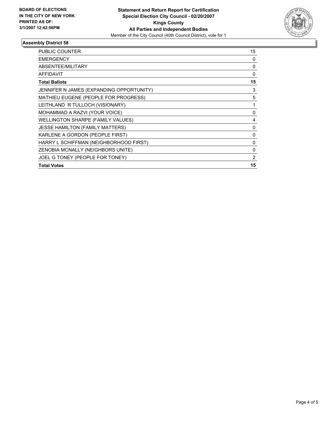

# **Assembly District 58**

| <b>PUBLIC COUNTER</b>                    | 15 |
|------------------------------------------|----|
| <b>EMERGENCY</b>                         | 0  |
| ABSENTEE/MILITARY                        | 0  |
| <b>AFFIDAVIT</b>                         | 0  |
| <b>Total Ballots</b>                     | 15 |
| JENNIFER N JAMES (EXPANDING OPPORTUNITY) | 3  |
| MATHIEU EUGENE (PEOPLE FOR PROGRESS)     | 5  |
| LEITHLAND R TULLOCH (VISIONARY)          |    |
| MOHAMMAD A RAZVI (YOUR VOICE)            | 0  |
| WELLINGTON SHARPE (FAMILY VALUES)        | 4  |
| JESSE HAMILTON (FAMILY MATTERS)          | 0  |
| KARLENE A GORDON (PEOPLE FIRST)          | 0  |
| HARRY L SCHIFFMAN (NEIGHBORHOOD FIRST)   | 0  |
| ZENOBIA MCNALLY (NEIGHBORS UNITE)        | 0  |
| JOEL G TONEY (PEOPLE FOR TONEY)          | 2  |
| <b>Total Votes</b>                       | 15 |